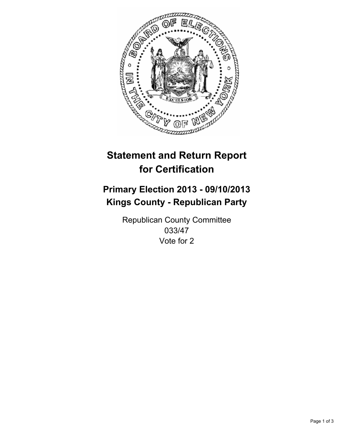

# **Statement and Return Report for Certification**

# **Primary Election 2013 - 09/10/2013 Kings County - Republican Party**

Republican County Committee 033/47 Vote for 2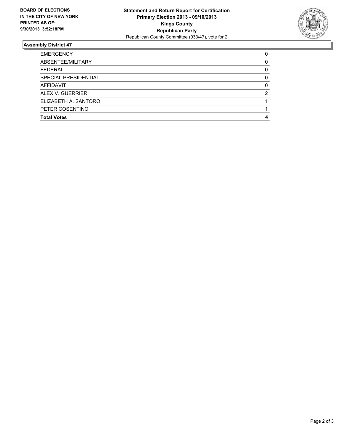

## **Assembly District 47**

| <b>EMERGENCY</b>     | 0 |
|----------------------|---|
| ABSENTEE/MILITARY    | 0 |
| <b>FEDERAL</b>       | 0 |
| SPECIAL PRESIDENTIAL | O |
| <b>AFFIDAVIT</b>     | 0 |
| ALEX V. GUERRIERI    |   |
| ELIZABETH A. SANTORO |   |
| PETER COSENTINO      |   |
| <b>Total Votes</b>   |   |